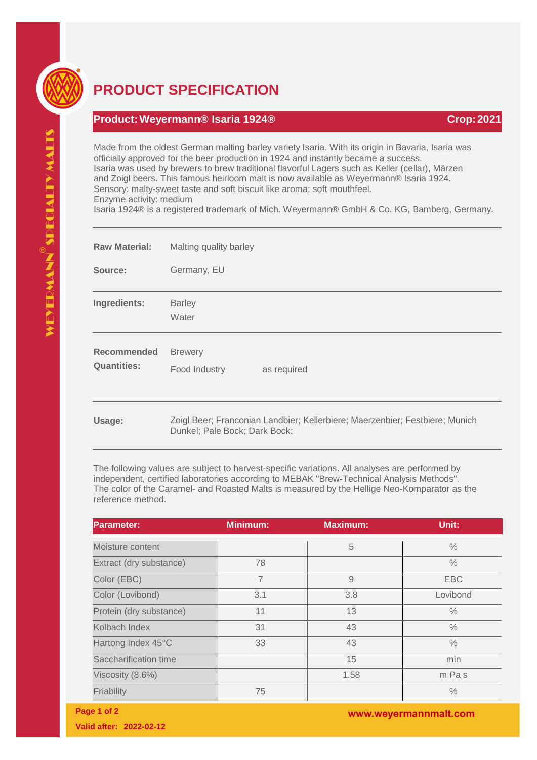

## **PRODUCT SPECIFICATION**

## **Product:Weyermann® Isaria 1924® Crop:2021**

Made from the oldest German malting barley variety Isaria. With its origin in Bavaria, Isaria was officially approved for the beer production in 1924 and instantly became a success. Isaria was used by brewers to brew traditional flavorful Lagers such as Keller (cellar), Märzen and Zoigl beers. This famous heirloom malt is now available as Weyermann® Isaria 1924. Sensory: malty-sweet taste and soft biscuit like aroma; soft mouthfeel. Enzyme activity: medium Isaria 1924® is a registered trademark of Mich. Weyermann® GmbH & Co. KG, Bamberg, Germany.

| <b>Raw Material:</b>                     | Malting quality barley                                                                                        |
|------------------------------------------|---------------------------------------------------------------------------------------------------------------|
| Source:                                  | Germany, EU                                                                                                   |
| Ingredients:                             | <b>Barley</b><br>Water                                                                                        |
| <b>Recommended</b><br><b>Quantities:</b> | <b>Brewery</b><br>Food Industry<br>as required                                                                |
| Usage:                                   | Zoigl Beer; Franconian Landbier; Kellerbiere; Maerzenbier; Festbiere; Munich<br>Dunkel; Pale Bock; Dark Bock; |

The following values are subject to harvest-specific variations. All analyses are performed by independent, certified laboratories according to MEBAK "Brew-Technical Analysis Methods". The color of the Caramel- and Roasted Malts is measured by the Hellige Neo-Komparator as the reference method.

| <b>Parameter:</b>       | <b>Minimum:</b> | <b>Maximum:</b> | Unit:         |
|-------------------------|-----------------|-----------------|---------------|
| Moisture content        |                 | 5               | $\frac{0}{0}$ |
| Extract (dry substance) | 78              |                 | $\frac{0}{0}$ |
| Color (EBC)             | $\overline{7}$  | $\overline{9}$  | <b>EBC</b>    |
| Color (Lovibond)        | 3.1             | 3.8             | Lovibond      |
| Protein (dry substance) | 11              | 13              | $\frac{0}{0}$ |
| Kolbach Index           | 31              | 43              | $\frac{0}{0}$ |
| Hartong Index 45°C      | 33              | 43              | $\frac{0}{0}$ |
| Saccharification time   |                 | 15              | min           |
| Viscosity (8.6%)        |                 | 1.58            | m Pas         |
| Friability              | 75              |                 | $\frac{0}{0}$ |

**Page 1 of 2**